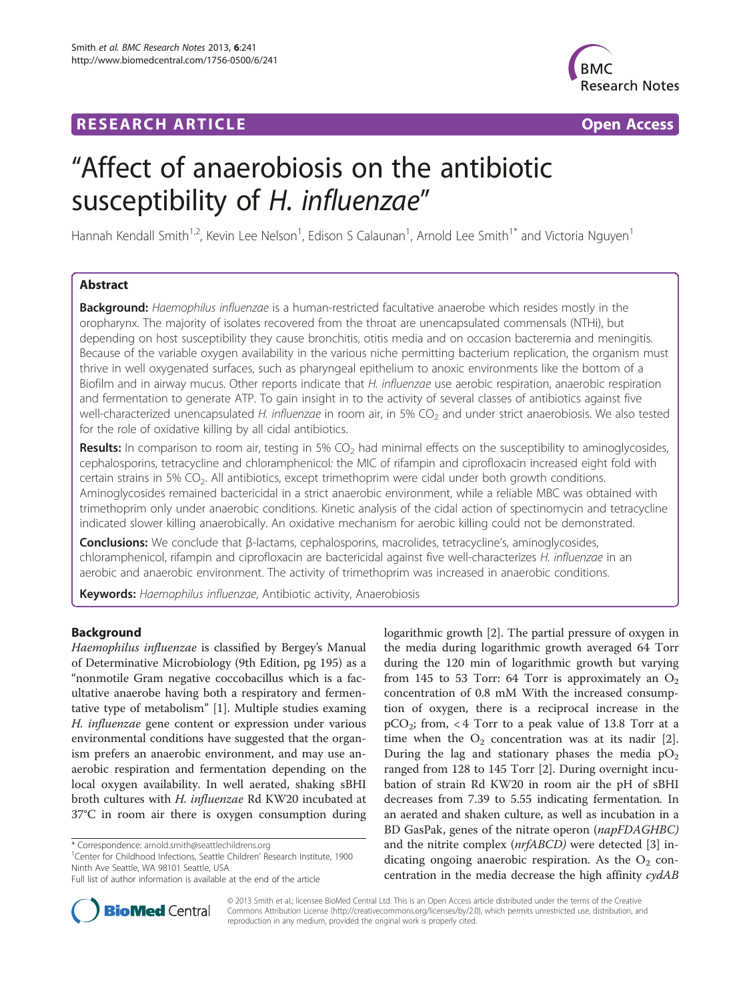# **RESEARCH ARTICLE Example 2014 12:30 The Contract of Contract ACCESS**



# "Affect of anaerobiosis on the antibiotic susceptibility of H. influenzae"

Hannah Kendall Smith<sup>1,2</sup>, Kevin Lee Nelson<sup>1</sup>, Edison S Calaunan<sup>1</sup>, Arnold Lee Smith<sup>1\*</sup> and Victoria Nguyen<sup>1</sup>

# Abstract

Background: Haemophilus influenzae is a human-restricted facultative anaerobe which resides mostly in the oropharynx. The majority of isolates recovered from the throat are unencapsulated commensals (NTHi), but depending on host susceptibility they cause bronchitis, otitis media and on occasion bacteremia and meningitis. Because of the variable oxygen availability in the various niche permitting bacterium replication, the organism must thrive in well oxygenated surfaces, such as pharyngeal epithelium to anoxic environments like the bottom of a Biofilm and in airway mucus. Other reports indicate that H. influenzae use aerobic respiration, anaerobic respiration and fermentation to generate ATP. To gain insight in to the activity of several classes of antibiotics against five well-characterized unencapsulated H. influenzae in room air, in 5% CO<sub>2</sub> and under strict anaerobiosis. We also tested for the role of oxidative killing by all cidal antibiotics.

Results: In comparison to room air, testing in 5%  $CO<sub>2</sub>$  had minimal effects on the susceptibility to aminoglycosides, cephalosporins, tetracycline and chloramphenicol: the MIC of rifampin and ciprofloxacin increased eight fold with certain strains in 5% CO<sub>2</sub>. All antibiotics, except trimethoprim were cidal under both growth conditions. Aminoglycosides remained bactericidal in a strict anaerobic environment, while a reliable MBC was obtained with trimethoprim only under anaerobic conditions. Kinetic analysis of the cidal action of spectinomycin and tetracycline indicated slower killing anaerobically. An oxidative mechanism for aerobic killing could not be demonstrated.

Conclusions: We conclude that β-lactams, cephalosporins, macrolides, tetracycline's, aminoglycosides, chloramphenicol, rifampin and ciprofloxacin are bactericidal against five well-characterizes H. influenzae in an aerobic and anaerobic environment. The activity of trimethoprim was increased in anaerobic conditions.

Keywords: Haemophilus influenzae, Antibiotic activity, Anaerobiosis

# Background

Haemophilus influenzae is classified by Bergey's Manual of Determinative Microbiology (9th Edition, pg 195) as a "nonmotile Gram negative coccobacillus which is a facultative anaerobe having both a respiratory and fermentative type of metabolism" [\[1](#page-8-0)]. Multiple studies examing H. influenzae gene content or expression under various environmental conditions have suggested that the organism prefers an anaerobic environment, and may use anaerobic respiration and fermentation depending on the local oxygen availability. In well aerated, shaking sBHI broth cultures with H. influenzae Rd KW20 incubated at 37°C in room air there is oxygen consumption during

<sup>1</sup> Center for Childhood Infections, Seattle Children' Research Institute, 1900 Ninth Ave Seattle, WA 98101 Seattle, USA

Full list of author information is available at the end of the article





© 2013 Smith et al.; licensee BioMed Central Ltd. This is an Open Access article distributed under the terms of the Creative Commons Attribution License [\(http://creativecommons.org/licenses/by/2.0\)](http://creativecommons.org/licenses/by/2.0), which permits unrestricted use, distribution, and reproduction in any medium, provided the original work is properly cited.

<sup>\*</sup> Correspondence: [arnold.smith@seattlechildrens.org](mailto:arnold.smith@seattlechildrens.org) <sup>1</sup>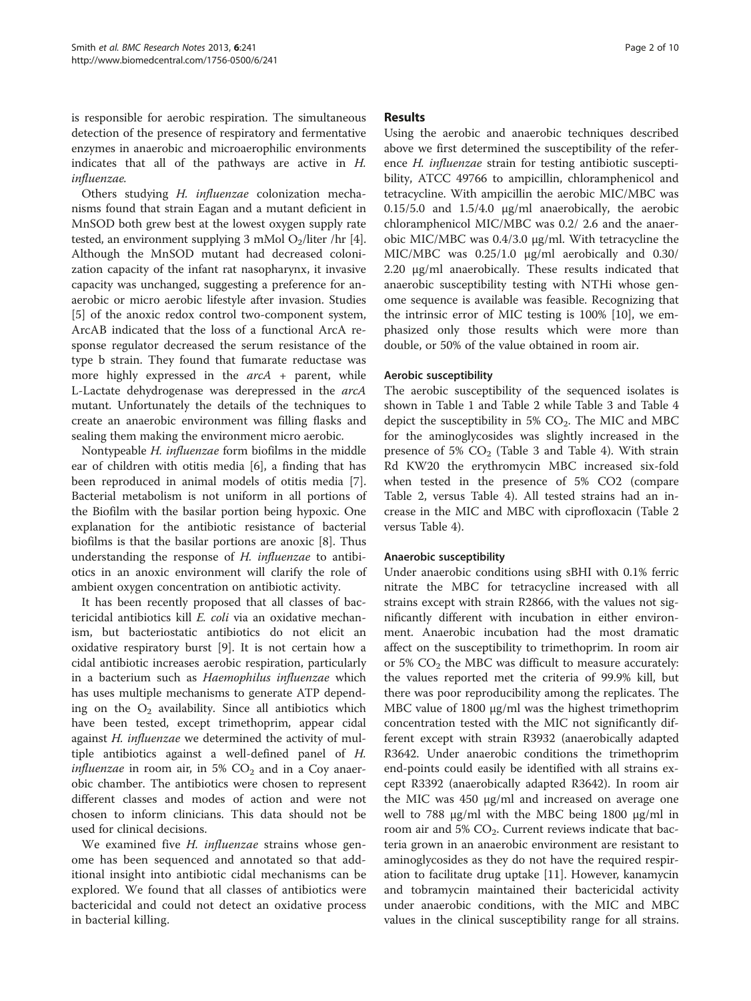is responsible for aerobic respiration. The simultaneous detection of the presence of respiratory and fermentative enzymes in anaerobic and microaerophilic environments indicates that all of the pathways are active in H. influenzae.

Others studying H. influenzae colonization mechanisms found that strain Eagan and a mutant deficient in MnSOD both grew best at the lowest oxygen supply rate tested, an environment supplying 3 mMol  $O<sub>2</sub>/$ liter /hr [[4](#page-8-0)]. Although the MnSOD mutant had decreased colonization capacity of the infant rat nasopharynx, it invasive capacity was unchanged, suggesting a preference for anaerobic or micro aerobic lifestyle after invasion. Studies [[5\]](#page-8-0) of the anoxic redox control two-component system, ArcAB indicated that the loss of a functional ArcA response regulator decreased the serum resistance of the type b strain. They found that fumarate reductase was more highly expressed in the  $arcA + parent$ , while L-Lactate dehydrogenase was derepressed in the arcA mutant. Unfortunately the details of the techniques to create an anaerobic environment was filling flasks and sealing them making the environment micro aerobic.

Nontypeable H. influenzae form biofilms in the middle ear of children with otitis media [\[6](#page-8-0)], a finding that has been reproduced in animal models of otitis media [\[7](#page-8-0)]. Bacterial metabolism is not uniform in all portions of the Biofilm with the basilar portion being hypoxic. One explanation for the antibiotic resistance of bacterial biofilms is that the basilar portions are anoxic [[8\]](#page-8-0). Thus understanding the response of H. influenzae to antibiotics in an anoxic environment will clarify the role of ambient oxygen concentration on antibiotic activity.

It has been recently proposed that all classes of bactericidal antibiotics kill E. coli via an oxidative mechanism, but bacteriostatic antibiotics do not elicit an oxidative respiratory burst [[9\]](#page-8-0). It is not certain how a cidal antibiotic increases aerobic respiration, particularly in a bacterium such as Haemophilus influenzae which has uses multiple mechanisms to generate ATP depending on the  $O_2$  availability. Since all antibiotics which have been tested, except trimethoprim, appear cidal against *H. influenzae* we determined the activity of multiple antibiotics against a well-defined panel of H. *influenzae* in room air, in 5%  $CO<sub>2</sub>$  and in a Coy anaerobic chamber. The antibiotics were chosen to represent different classes and modes of action and were not chosen to inform clinicians. This data should not be used for clinical decisions.

We examined five H. influenzae strains whose genome has been sequenced and annotated so that additional insight into antibiotic cidal mechanisms can be explored. We found that all classes of antibiotics were bactericidal and could not detect an oxidative process in bacterial killing.

# Results

Using the aerobic and anaerobic techniques described above we first determined the susceptibility of the reference H. influenzae strain for testing antibiotic susceptibility, ATCC 49766 to ampicillin, chloramphenicol and tetracycline. With ampicillin the aerobic MIC/MBC was 0.15/5.0 and 1.5/4.0 μg/ml anaerobically, the aerobic chloramphenicol MIC/MBC was 0.2/ 2.6 and the anaerobic MIC/MBC was 0.4/3.0 μg/ml. With tetracycline the MIC/MBC was 0.25/1.0 μg/ml aerobically and 0.30/ 2.20 μg/ml anaerobically. These results indicated that anaerobic susceptibility testing with NTHi whose genome sequence is available was feasible. Recognizing that the intrinsic error of MIC testing is 100% [\[10](#page-8-0)], we emphasized only those results which were more than double, or 50% of the value obtained in room air.

# Aerobic susceptibility

The aerobic susceptibility of the sequenced isolates is shown in Table [1](#page-2-0) and Table [2](#page-2-0) while Table [3](#page-3-0) and Table [4](#page-3-0) depict the susceptibility in 5%  $CO<sub>2</sub>$ . The MIC and MBC for the aminoglycosides was slightly increased in the presence of 5%  $CO<sub>2</sub>$  (Table [3](#page-3-0) and Table [4](#page-3-0)). With strain Rd KW20 the erythromycin MBC increased six-fold when tested in the presence of 5% CO2 (compare Table [2,](#page-2-0) versus Table [4](#page-3-0)). All tested strains had an increase in the MIC and MBC with ciprofloxacin (Table [2](#page-2-0) versus Table [4\)](#page-3-0).

# Anaerobic susceptibility

Under anaerobic conditions using sBHI with 0.1% ferric nitrate the MBC for tetracycline increased with all strains except with strain R2866, with the values not significantly different with incubation in either environment. Anaerobic incubation had the most dramatic affect on the susceptibility to trimethoprim. In room air or 5%  $CO<sub>2</sub>$  the MBC was difficult to measure accurately: the values reported met the criteria of 99.9% kill, but there was poor reproducibility among the replicates. The MBC value of 1800 μg/ml was the highest trimethoprim concentration tested with the MIC not significantly different except with strain R3932 (anaerobically adapted R3642. Under anaerobic conditions the trimethoprim end-points could easily be identified with all strains except R3392 (anaerobically adapted R3642). In room air the MIC was 450 μg/ml and increased on average one well to 788 μg/ml with the MBC being 1800 μg/ml in room air and 5%  $CO<sub>2</sub>$ . Current reviews indicate that bacteria grown in an anaerobic environment are resistant to aminoglycosides as they do not have the required respiration to facilitate drug uptake [[11](#page-8-0)]. However, kanamycin and tobramycin maintained their bactericidal activity under anaerobic conditions, with the MIC and MBC values in the clinical susceptibility range for all strains.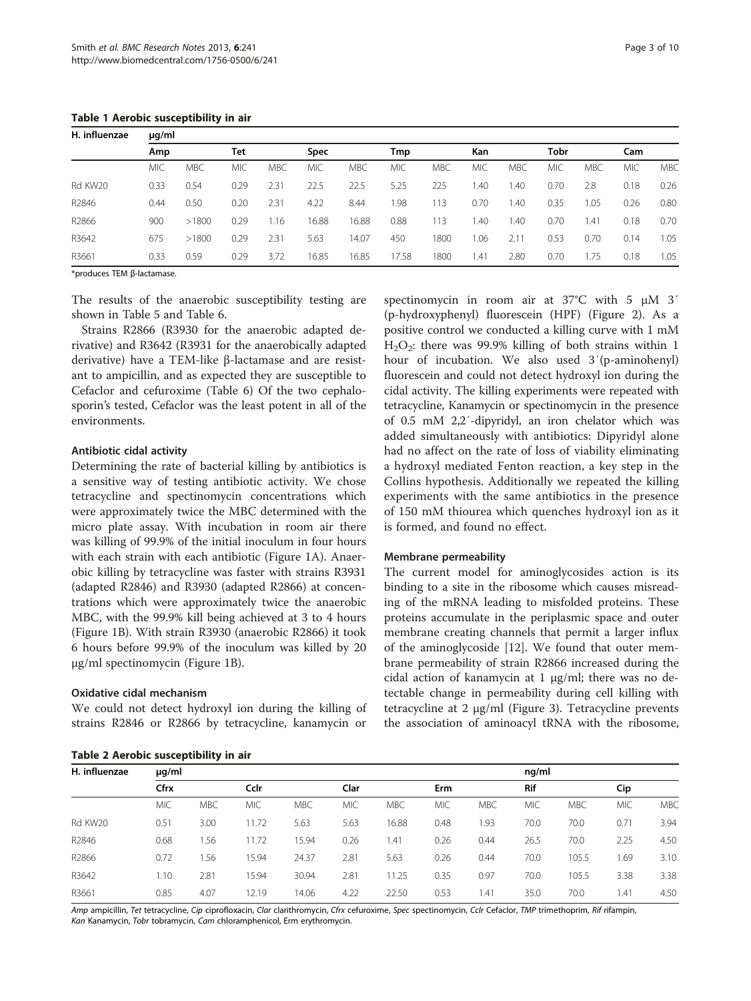<span id="page-2-0"></span>Table 1 Aerobic susceptibility in air

| H. influenzae | $\mu$ g/ml |            |            |            |             |            |            |            |            |            |            |            |            |            |
|---------------|------------|------------|------------|------------|-------------|------------|------------|------------|------------|------------|------------|------------|------------|------------|
|               | Amp        |            | Tet        |            | <b>Spec</b> |            | Tmp        |            |            | Kan        |            | Tobr       |            | Cam        |
|               | <b>MIC</b> | <b>MBC</b> | <b>MIC</b> | <b>MBC</b> | <b>MIC</b>  | <b>MBC</b> | <b>MIC</b> | <b>MBC</b> | <b>MIC</b> | <b>MBC</b> | <b>MIC</b> | <b>MBC</b> | <b>MIC</b> | <b>MBC</b> |
| Rd KW20       | 0.33       | 0.54       | 0.29       | 2.31       | 22.5        | 22.5       | 5.25       | 225        | l.40       | 1.40       | 0.70       | 2.8        | 0.18       | 0.26       |
| R2846         | 0.44       | 0.50       | 0.20       | 2.31       | 4.22        | 8.44       | 1.98       | 113        | 0.70       | 1.40       | 0.35       | 1.05       | 0.26       | 0.80       |
| R2866         | 900        | >1800      | 0.29       | 1.16       | 16.88       | 16.88      | 0.88       | 113        | l.40       | 1.40       | 0.70       | 1.41       | 0.18       | 0.70       |
| R3642         | 675        | >1800      | 0.29       | 2.31       | 5.63        | 14.07      | 450        | 1800       | 1.06       | 2.11       | 0.53       | 0.70       | 0.14       | 1.05       |
| R3661         | 0.33       | 0.59       | 0.29       | 3.72       | 16.85       | 16.85      | 17.58      | 1800       | 1.41       | 2.80       | 0.70       | 1.75       | 0.18       | 1.05       |

\*produces TEM β-lactamase.

The results of the anaerobic susceptibility testing are shown in Table [5](#page-4-0) and Table [6.](#page-4-0)

Strains R2866 (R3930 for the anaerobic adapted derivative) and R3642 (R3931 for the anaerobically adapted derivative) have a TEM-like β-lactamase and are resistant to ampicillin, and as expected they are susceptible to Cefaclor and cefuroxime (Table [6\)](#page-4-0) Of the two cephalosporin's tested, Cefaclor was the least potent in all of the environments.

#### Antibiotic cidal activity

Determining the rate of bacterial killing by antibiotics is a sensitive way of testing antibiotic activity. We chose tetracycline and spectinomycin concentrations which were approximately twice the MBC determined with the micro plate assay. With incubation in room air there was killing of 99.9% of the initial inoculum in four hours with each strain with each antibiotic (Figure [1A](#page-5-0)). Anaerobic killing by tetracycline was faster with strains R3931 (adapted R2846) and R3930 (adapted R2866) at concentrations which were approximately twice the anaerobic MBC, with the 99.9% kill being achieved at 3 to 4 hours (Figure [1](#page-5-0)B). With strain R3930 (anaerobic R2866) it took 6 hours before 99.9% of the inoculum was killed by 20 μg/ml spectinomycin (Figure [1B](#page-5-0)).

# Oxidative cidal mechanism

We could not detect hydroxyl ion during the killing of strains R2846 or R2866 by tetracycline, kanamycin or

|  |  | Table 2 Aerobic susceptibility in air |  |  |
|--|--|---------------------------------------|--|--|
|--|--|---------------------------------------|--|--|

spectinomycin in room air at 37°C with 5 μM 3′ (p-hydroxyphenyl) fluorescein (HPF) (Figure [2](#page-5-0)). As a positive control we conducted a killing curve with 1 mM  $H<sub>2</sub>O<sub>2</sub>$ : there was 99.9% killing of both strains within 1 hour of incubation. We also used 3′(p-aminohenyl) fluorescein and could not detect hydroxyl ion during the cidal activity. The killing experiments were repeated with tetracycline, Kanamycin or spectinomycin in the presence of 0.5 mM 2,2′-dipyridyl, an iron chelator which was added simultaneously with antibiotics: Dipyridyl alone had no affect on the rate of loss of viability eliminating a hydroxyl mediated Fenton reaction, a key step in the Collins hypothesis. Additionally we repeated the killing experiments with the same antibiotics in the presence of 150 mM thiourea which quenches hydroxyl ion as it is formed, and found no effect.

#### Membrane permeability

The current model for aminoglycosides action is its binding to a site in the ribosome which causes misreading of the mRNA leading to misfolded proteins. These proteins accumulate in the periplasmic space and outer membrane creating channels that permit a larger influx of the aminoglycoside [\[12](#page-8-0)]. We found that outer membrane permeability of strain R2866 increased during the cidal action of kanamycin at 1 μg/ml; there was no detectable change in permeability during cell killing with tetracycline at 2 μg/ml (Figure [3\)](#page-5-0). Tetracycline prevents the association of aminoacyl tRNA with the ribosome,

| $1.4001$ and $2.101$ which suspenses the first $\frac{1}{2}$ and $\frac{1}{2}$ |            |            |            |            |            |            |            |            |            |            |            |            |
|--------------------------------------------------------------------------------|------------|------------|------------|------------|------------|------------|------------|------------|------------|------------|------------|------------|
| H. influenzae                                                                  | $\mu$ g/ml |            |            |            |            |            |            |            | nq/ml      |            |            |            |
|                                                                                | Cfrx       |            | Cclr       |            | Clar       |            |            | <b>Erm</b> |            | Rif        |            |            |
|                                                                                | <b>MIC</b> | <b>MBC</b> | <b>MIC</b> | <b>MBC</b> | <b>MIC</b> | <b>MBC</b> | <b>MIC</b> | <b>MBC</b> | <b>MIC</b> | <b>MBC</b> | <b>MIC</b> | <b>MBC</b> |
| Rd KW20                                                                        | 0.51       | 3.00       | 11.72      | 5.63       | 5.63       | 16.88      | 0.48       | 1.93       | 70.0       | 70.0       | 0.71       | 3.94       |
| R2846                                                                          | 0.68       | 1.56       | 11.72      | 15.94      | 0.26       | 1.41       | 0.26       | 0.44       | 26.5       | 70.0       | 2.25       | 4.50       |
| R2866                                                                          | 0.72       | 1.56       | 15.94      | 24.37      | 2.81       | 5.63       | 0.26       | 0.44       | 70.0       | 105.5      | 1.69       | 3.10       |
| R3642                                                                          | 1.10       | 2.81       | 15.94      | 30.94      | 2.81       | 11.25      | 0.35       | 0.97       | 70.0       | 105.5      | 3.38       | 3.38       |
| R3661                                                                          | 0.85       | 4.07       | 12.19      | 14.06      | 4.22       | 22.50      | 0.53       | 1.41       | 35.0       | 70.0       | 1.41       | 4.50       |

Amp ampicillin, Tet tetracycline, Cip ciprofloxacin, Clar clarithromycin, Cfrx cefuroxime, Spec spectinomycin, Cclr Cefaclor, TMP trimethoprim, Rif rifampin, Kan Kanamycin, Tobr tobramycin, Cam chloramphenicol, Erm erythromycin.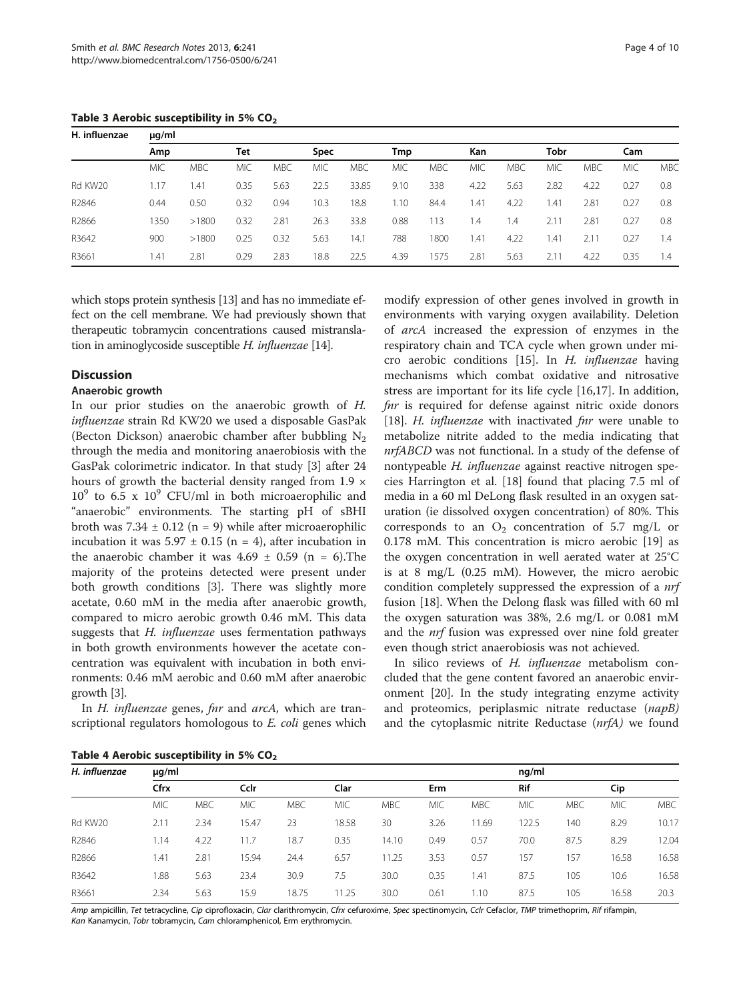<span id="page-3-0"></span>Table 3 Aerobic susceptibility in 5%  $CO<sub>2</sub>$ 

| H. influenzae | $\mu$ g/ml |            |      |            |            |            |            |            |            |            |            |            |            |            |
|---------------|------------|------------|------|------------|------------|------------|------------|------------|------------|------------|------------|------------|------------|------------|
|               | Amp        |            | Tet  |            | Spec       |            |            | Tmp        |            | <b>Kan</b> |            | Tobr       |            | Cam        |
|               | <b>MIC</b> | <b>MBC</b> | MIC  | <b>MBC</b> | <b>MIC</b> | <b>MBC</b> | <b>MIC</b> | <b>MBC</b> | <b>MIC</b> | <b>MBC</b> | <b>MIC</b> | <b>MBC</b> | <b>MIC</b> | <b>MBC</b> |
| Rd KW20       | 1.17       | 1.41       | 0.35 | 5.63       | 22.5       | 33.85      | 9.10       | 338        | 4.22       | 5.63       | 2.82       | 4.22       | 0.27       | 0.8        |
| R2846         | 0.44       | 0.50       | 0.32 | 0.94       | 10.3       | 18.8       | 1.10       | 84.4       | 1.41       | 4.22       | 1.41       | 2.81       | 0.27       | 0.8        |
| R2866         | 1350       | >1800      | 0.32 | 2.81       | 26.3       | 33.8       | 0.88       | 113        | 1.4        | 1.4        | 2.11       | 2.81       | 0.27       | 0.8        |
| R3642         | 900        | >1800      | 0.25 | 0.32       | 5.63       | 14.1       | 788        | 1800       | 1.41       | 4.22       | 1.41       | 2.11       | 0.27       | 1.4        |
| R3661         | 1.41       | 2.81       | 0.29 | 2.83       | 18.8       | 22.5       | 4.39       | 1575       | 2.81       | 5.63       | 2.11       | 4.22       | 0.35       | 1.4        |

which stops protein synthesis [\[13\]](#page-8-0) and has no immediate effect on the cell membrane. We had previously shown that therapeutic tobramycin concentrations caused mistranslation in aminoglycoside susceptible H. influenzae [\[14](#page-8-0)].

# **Discussion**

#### Anaerobic growth

In our prior studies on the anaerobic growth of H. influenzae strain Rd KW20 we used a disposable GasPak (Becton Dickson) anaerobic chamber after bubbling  $N_2$ through the media and monitoring anaerobiosis with the GasPak colorimetric indicator. In that study [[3\]](#page-8-0) after 24 hours of growth the bacterial density ranged from 1.9  $\times$  $10^9$  to 6.5 x  $10^9$  CFU/ml in both microaerophilic and "anaerobic" environments. The starting pH of sBHI broth was  $7.34 \pm 0.12$  (n = 9) while after microaerophilic incubation it was  $5.97 \pm 0.15$  (n = 4), after incubation in the anaerobic chamber it was  $4.69 \pm 0.59$  (n = 6). The majority of the proteins detected were present under both growth conditions [\[3](#page-8-0)]. There was slightly more acetate, 0.60 mM in the media after anaerobic growth, compared to micro aerobic growth 0.46 mM. This data suggests that H. influenzae uses fermentation pathways in both growth environments however the acetate concentration was equivalent with incubation in both environments: 0.46 mM aerobic and 0.60 mM after anaerobic growth [[3](#page-8-0)].

In *H. influenzae* genes, *fnr* and *arcA*, which are transcriptional regulators homologous to E. coli genes which

modify expression of other genes involved in growth in environments with varying oxygen availability. Deletion of arcA increased the expression of enzymes in the respiratory chain and TCA cycle when grown under micro aerobic conditions [[15\]](#page-8-0). In H. influenzae having mechanisms which combat oxidative and nitrosative stress are important for its life cycle [[16,17](#page-8-0)]. In addition, fur is required for defense against nitric oxide donors [[18\]](#page-8-0). H. influenzae with inactivated fur were unable to metabolize nitrite added to the media indicating that nrfABCD was not functional. In a study of the defense of nontypeable H. influenzae against reactive nitrogen species Harrington et al. [\[18](#page-8-0)] found that placing 7.5 ml of media in a 60 ml DeLong flask resulted in an oxygen saturation (ie dissolved oxygen concentration) of 80%. This corresponds to an  $O_2$  concentration of 5.7 mg/L or 0.178 mM. This concentration is micro aerobic [\[19\]](#page-8-0) as the oxygen concentration in well aerated water at 25°C is at 8 mg/L (0.25 mM). However, the micro aerobic condition completely suppressed the expression of a nrf fusion [\[18\]](#page-8-0). When the Delong flask was filled with 60 ml the oxygen saturation was 38%, 2.6 mg/L or 0.081 mM and the nrf fusion was expressed over nine fold greater even though strict anaerobiosis was not achieved.

In silico reviews of H. *influenzae* metabolism concluded that the gene content favored an anaerobic environment [[20\]](#page-8-0). In the study integrating enzyme activity and proteomics, periplasmic nitrate reductase (napB) and the cytoplasmic nitrite Reductase (nrfA) we found

| Table 4 Aerobic susceptibility in 5% CO <sub>2</sub> |  |  |  |
|------------------------------------------------------|--|--|--|
|------------------------------------------------------|--|--|--|

| H. influenzae | µg/ml      |            |            | nq/ml      |            |            |            |            |            |            |            |            |
|---------------|------------|------------|------------|------------|------------|------------|------------|------------|------------|------------|------------|------------|
|               | Cfrx       |            | Cclr       |            | Clar       |            |            | <b>Erm</b> |            | <b>Rif</b> |            |            |
|               | <b>MIC</b> | <b>MBC</b> | <b>MIC</b> | <b>MBC</b> | <b>MIC</b> | <b>MBC</b> | <b>MIC</b> | <b>MBC</b> | <b>MIC</b> | <b>MBC</b> | <b>MIC</b> | <b>MBC</b> |
| Rd KW20       | 2.11       | 2.34       | 15.47      | 23         | 18.58      | 30         | 3.26       | 11.69      | 122.5      | 140        | 8.29       | 10.17      |
| R2846         | 1.14       | 4.22       | 11.7       | 18.7       | 0.35       | 14.10      | 0.49       | 0.57       | 70.0       | 87.5       | 8.29       | 12.04      |
| R2866         | .41        | 2.81       | 15.94      | 24.4       | 6.57       | 11.25      | 3.53       | 0.57       | 157        | 157        | 16.58      | 16.58      |
| R3642         | 88.        | 5.63       | 23.4       | 30.9       | 7.5        | 30.0       | 0.35       | 1.41       | 87.5       | 105        | 10.6       | 16.58      |
| R3661         | 2.34       | 5.63       | 15.9       | 18.75      | 11.25      | 30.0       | 0.61       | 1.10       | 87.5       | 105        | 16.58      | 20.3       |

Amp ampicillin, Tet tetracycline, Cip ciprofloxacin, Clar clarithromycin, Cfrx cefuroxime, Spec spectinomycin, Cclr Cefaclor, TMP trimethoprim, Rif rifampin, Kan Kanamycin, Tobr tobramycin, Cam chloramphenicol, Erm erythromycin.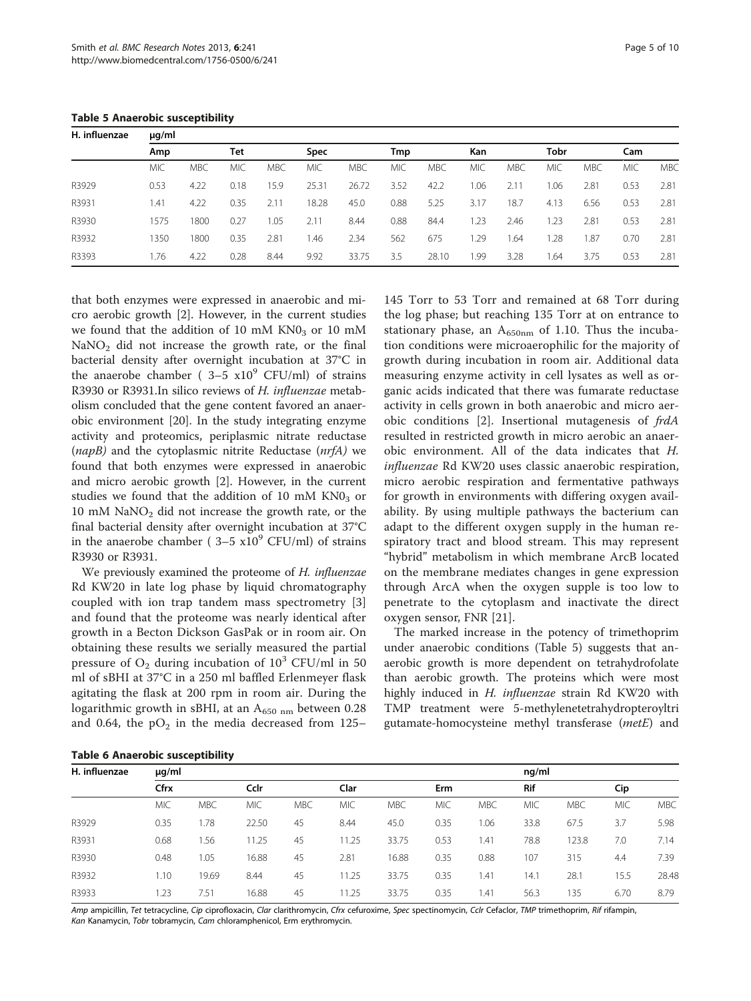<span id="page-4-0"></span>Table 5 Anaerobic susceptibility

| H. influenzae | $\mu$ g/ml |            |            |            |             |            |      |            |            |            |      |            |            |            |  |
|---------------|------------|------------|------------|------------|-------------|------------|------|------------|------------|------------|------|------------|------------|------------|--|
|               | Amp        |            | Tet        |            | <b>Spec</b> |            |      | Tmp        |            | <b>Kan</b> |      | Tobr       |            |            |  |
|               | <b>MIC</b> | <b>MBC</b> | <b>MIC</b> | <b>MBC</b> | <b>MIC</b>  | <b>MBC</b> | МIС  | <b>MBC</b> | <b>MIC</b> | <b>MBC</b> | MIC  | <b>MBC</b> | <b>MIC</b> | <b>MBC</b> |  |
| R3929         | 0.53       | 4.22       | 0.18       | 5.9        | 25.31       | 26.72      | 3.52 | 42.2       | 1.06       | 2.11       | 1.06 | 2.81       | 0.53       | 2.81       |  |
| R3931         | 1.41       | 4.22       | 0.35       | 2.11       | 18.28       | 45.0       | 0.88 | 5.25       | 3.17       | 18.7       | 4.13 | 6.56       | 0.53       | 2.81       |  |
| R3930         | 1575       | 1800       | 0.27       | .05        | 2.11        | 8.44       | 0.88 | 84.4       | 1.23       | 2.46       | 1.23 | 2.81       | 0.53       | 2.81       |  |
| R3932         | 1350       | 1800       | 0.35       | 2.81       | 1.46        | 2.34       | 562  | 675        | 1.29       | 1.64       | 1.28 | .87        | 0.70       | 2.81       |  |
| R3393         | 1.76       | 4.22       | 0.28       | 8.44       | 9.92        | 33.75      | 3.5  | 28.10      | 1.99       | 3.28       | 1.64 | 3.75       | 0.53       | 2.81       |  |

that both enzymes were expressed in anaerobic and micro aerobic growth [\[2](#page-8-0)]. However, in the current studies we found that the addition of 10 mM  $KN0<sub>3</sub>$  or 10 mM  $NaNO<sub>2</sub>$  did not increase the growth rate, or the final bacterial density after overnight incubation at 37°C in the anaerobe chamber ( $3-5 \times 10^{9}$  CFU/ml) of strains R3930 or R3931.In silico reviews of H. influenzae metabolism concluded that the gene content favored an anaerobic environment [\[20\]](#page-8-0). In the study integrating enzyme activity and proteomics, periplasmic nitrate reductase  $(napB)$  and the cytoplasmic nitrite Reductase  $(nrfA)$  we found that both enzymes were expressed in anaerobic and micro aerobic growth [\[2](#page-8-0)]. However, in the current studies we found that the addition of 10 mM  $KN0<sub>3</sub>$  or  $10$  mM NaNO<sub>2</sub> did not increase the growth rate, or the final bacterial density after overnight incubation at 37°C in the anaerobe chamber ( $3-5 \times 10^9$  CFU/ml) of strains R3930 or R3931.

We previously examined the proteome of H. influenzae Rd KW20 in late log phase by liquid chromatography coupled with ion trap tandem mass spectrometry [\[3](#page-8-0)] and found that the proteome was nearly identical after growth in a Becton Dickson GasPak or in room air. On obtaining these results we serially measured the partial pressure of  $O_2$  during incubation of  $10^3$  CFU/ml in 50 ml of sBHI at 37°C in a 250 ml baffled Erlenmeyer flask agitating the flask at 200 rpm in room air. During the logarithmic growth in sBHI, at an  $A_{650 \text{ nm}}$  between 0.28 and 0.64, the  $pO<sub>2</sub>$  in the media decreased from 125–

145 Torr to 53 Torr and remained at 68 Torr during the log phase; but reaching 135 Torr at on entrance to stationary phase, an  $A_{650nm}$  of 1.10. Thus the incubation conditions were microaerophilic for the majority of growth during incubation in room air. Additional data measuring enzyme activity in cell lysates as well as organic acids indicated that there was fumarate reductase activity in cells grown in both anaerobic and micro aerobic conditions [\[2](#page-8-0)]. Insertional mutagenesis of frdA resulted in restricted growth in micro aerobic an anaerobic environment. All of the data indicates that H. influenzae Rd KW20 uses classic anaerobic respiration, micro aerobic respiration and fermentative pathways for growth in environments with differing oxygen availability. By using multiple pathways the bacterium can adapt to the different oxygen supply in the human respiratory tract and blood stream. This may represent "hybrid" metabolism in which membrane ArcB located on the membrane mediates changes in gene expression through ArcA when the oxygen supple is too low to penetrate to the cytoplasm and inactivate the direct oxygen sensor, FNR [\[21](#page-8-0)].

The marked increase in the potency of trimethoprim under anaerobic conditions (Table 5) suggests that anaerobic growth is more dependent on tetrahydrofolate than aerobic growth. The proteins which were most highly induced in H. influenzae strain Rd KW20 with TMP treatment were 5-methylenetetrahydropteroyltri gutamate-homocysteine methyl transferase (metE) and

| <b>Table 6 Anaerobic susceptibility</b> |  |  |  |  |  |  |
|-----------------------------------------|--|--|--|--|--|--|
|-----------------------------------------|--|--|--|--|--|--|

|               | Table of Anael Obic Susceptibility |            |            |            |            |            |            |            |            |            |            |            |  |
|---------------|------------------------------------|------------|------------|------------|------------|------------|------------|------------|------------|------------|------------|------------|--|
| H. influenzae | $\mu$ g/ml                         |            |            |            | nq/ml      |            |            |            |            |            |            |            |  |
|               | Cfrx                               |            | Cclr       |            | Clar       |            |            | Erm        |            | <b>Rif</b> |            |            |  |
|               | <b>MIC</b>                         | <b>MBC</b> | <b>MIC</b> | <b>MBC</b> | <b>MIC</b> | <b>MBC</b> | <b>MIC</b> | <b>MBC</b> | <b>MIC</b> | <b>MBC</b> | <b>MIC</b> | <b>MBC</b> |  |
| R3929         | 0.35                               | .78        | 22.50      | 45         | 8.44       | 45.0       | 0.35       | 1.06       | 33.8       | 67.5       | 3.7        | 5.98       |  |
| R3931         | 0.68                               | 1.56       | 11.25      | 45         | 11.25      | 33.75      | 0.53       | 1.41       | 78.8       | 123.8      | 7.0        | 7.14       |  |
| R3930         | 0.48                               | 1.05       | 16.88      | 45         | 2.81       | 16.88      | 0.35       | 0.88       | 107        | 315        | 4.4        | 7.39       |  |
| R3932         | 1.10                               | 19.69      | 8.44       | 45         | 11.25      | 33.75      | 0.35       | 1.41       | 14.1       | 28.1       | 15.5       | 28.48      |  |
| R3933         | 1.23                               | 7.51       | 16.88      | 45         | 11.25      | 33.75      | 0.35       | 1.41       | 56.3       | 135        | 6.70       | 8.79       |  |

Amp ampicillin, Tet tetracycline, Cip ciprofloxacin, Clar clarithromycin, Cfrx cefuroxime, Spec spectinomycin, Cclr Cefaclor, TMP trimethoprim, Rif rifampin, Kan Kanamycin, Tobr tobramycin, Cam chloramphenicol, Erm erythromycin.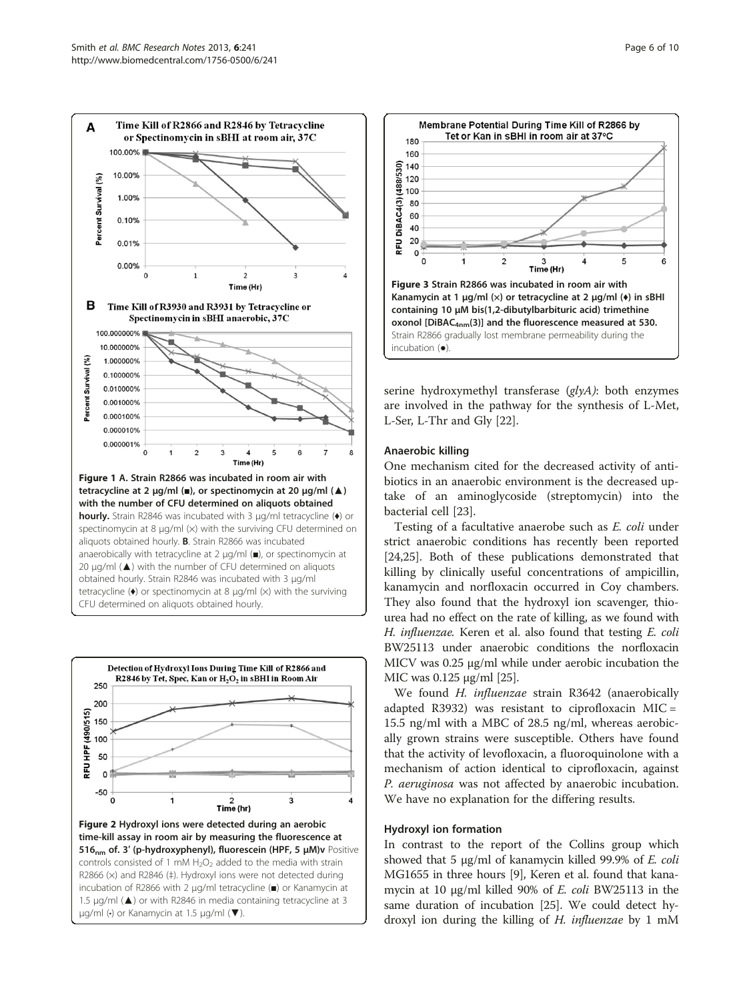<span id="page-5-0"></span>





serine hydroxymethyl transferase (glyA): both enzymes are involved in the pathway for the synthesis of L-Met, L-Ser, L-Thr and Gly [\[22](#page-8-0)].

# Anaerobic killing

One mechanism cited for the decreased activity of antibiotics in an anaerobic environment is the decreased uptake of an aminoglycoside (streptomycin) into the bacterial cell [\[23](#page-8-0)].

Testing of a facultative anaerobe such as E. coli under strict anaerobic conditions has recently been reported [[24,25\]](#page-8-0). Both of these publications demonstrated that killing by clinically useful concentrations of ampicillin, kanamycin and norfloxacin occurred in Coy chambers. They also found that the hydroxyl ion scavenger, thiourea had no effect on the rate of killing, as we found with H. influenzae. Keren et al. also found that testing E. coli BW25113 under anaerobic conditions the norfloxacin MICV was 0.25 μg/ml while under aerobic incubation the MIC was 0.125 μg/ml [\[25\]](#page-8-0).

We found H. influenzae strain R3642 (anaerobically adapted R3932) was resistant to ciprofloxacin MIC = 15.5 ng/ml with a MBC of 28.5 ng/ml, whereas aerobically grown strains were susceptible. Others have found that the activity of levofloxacin, a fluoroquinolone with a mechanism of action identical to ciprofloxacin, against P. aeruginosa was not affected by anaerobic incubation. We have no explanation for the differing results.

#### Hydroxyl ion formation

In contrast to the report of the Collins group which showed that 5 μg/ml of kanamycin killed 99.9% of E. coli MG1655 in three hours [\[9](#page-8-0)], Keren et al. found that kanamycin at 10 μg/ml killed 90% of E. coli BW25113 in the same duration of incubation [\[25\]](#page-8-0). We could detect hydroxyl ion during the killing of H. influenzae by 1 mM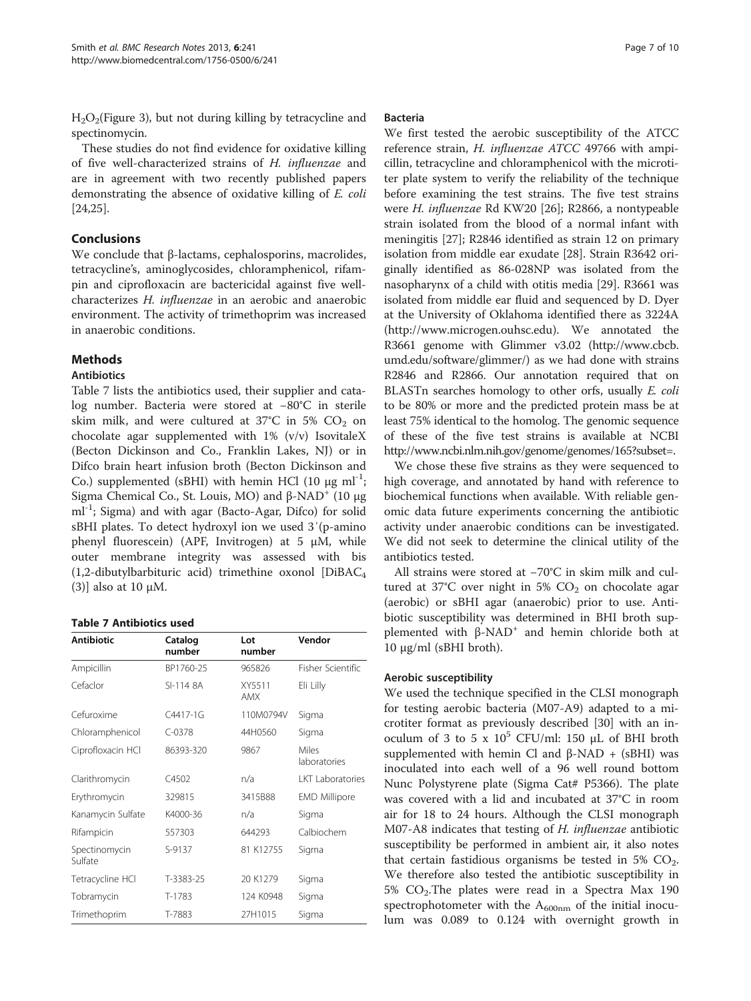$H<sub>2</sub>O<sub>2</sub>(Figure 3)$  $H<sub>2</sub>O<sub>2</sub>(Figure 3)$  $H<sub>2</sub>O<sub>2</sub>(Figure 3)$ , but not during killing by tetracycline and spectinomycin.

These studies do not find evidence for oxidative killing of five well-characterized strains of H. influenzae and are in agreement with two recently published papers demonstrating the absence of oxidative killing of E. coli [[24,25\]](#page-8-0).

# Conclusions

We conclude that β-lactams, cephalosporins, macrolides, tetracycline's, aminoglycosides, chloramphenicol, rifampin and ciprofloxacin are bactericidal against five wellcharacterizes H. influenzae in an aerobic and anaerobic environment. The activity of trimethoprim was increased in anaerobic conditions.

# Methods

#### Antibiotics

Table 7 lists the antibiotics used, their supplier and catalog number. Bacteria were stored at −80°C in sterile skim milk, and were cultured at  $37^{\circ}$ C in 5% CO<sub>2</sub> on chocolate agar supplemented with 1% (v/v) IsovitaleX (Becton Dickinson and Co., Franklin Lakes, NJ) or in Difco brain heart infusion broth (Becton Dickinson and Co.) supplemented (sBHI) with hemin HCl (10 μg ml<sup>-1</sup>; Sigma Chemical Co., St. Louis, MO) and  $β$ -NAD<sup>+</sup> (10 μg ml<sup>-1</sup>; Sigma) and with agar (Bacto-Agar, Difco) for solid sBHI plates. To detect hydroxyl ion we used 3′(p-amino phenyl fluorescein) (APF, Invitrogen) at 5 μM, while outer membrane integrity was assessed with bis (1,2-dibutylbarbituric acid) trimethine oxonol [DiBAC4 (3)] also at 10 μM.

#### Table 7 Antibiotics used

| <b>Antibiotic</b>        | Catalog<br>number | Lot<br>number | Vendor                  |  |
|--------------------------|-------------------|---------------|-------------------------|--|
| Ampicillin               | BP1760-25         | 965826        | Fisher Scientific       |  |
| Cefaclor                 | SI-114 8A         | XY5511<br>AMX | Eli Lilly               |  |
| Cefuroxime               | $C4417-1G$        | 110M0794V     | Sigma                   |  |
| Chloramphenicol          | $C-0378$          | 44H0560       | Sigma                   |  |
| Ciprofloxacin HCl        | 86393-320         | 9867          | Miles<br>laboratories   |  |
| Clarithromycin           | C4502             | n/a           | <b>LKT</b> Laboratories |  |
| Erythromycin             | 329815            | 3415B88       | <b>EMD Millipore</b>    |  |
| Kanamycin Sulfate        | K4000-36          | n/a           | Sigma                   |  |
| Rifampicin               | 557303            | 644293        | Calbiochem              |  |
| Spectinomycin<br>Sulfate | S-9137            | 81 K12755     | Sigma                   |  |
| Tetracycline HCl         | T-3383-25         | 20 K1279      | Sigma                   |  |
| Tobramycin               | T-1783            | 124 K0948     | Sigma                   |  |
| Trimethoprim             | T-7883            | 27H1015       | Sigma                   |  |

#### Bacteria

We first tested the aerobic susceptibility of the ATCC reference strain, H. influenzae ATCC 49766 with ampicillin, tetracycline and chloramphenicol with the microtiter plate system to verify the reliability of the technique before examining the test strains. The five test strains were H. influenzae Rd KW20 [[26\]](#page-8-0); R2866, a nontypeable strain isolated from the blood of a normal infant with meningitis [[27\]](#page-8-0); R2846 identified as strain 12 on primary isolation from middle ear exudate [[28](#page-8-0)]. Strain R3642 originally identified as 86-028NP was isolated from the nasopharynx of a child with otitis media [[29](#page-9-0)]. R3661 was isolated from middle ear fluid and sequenced by D. Dyer at the University of Oklahoma identified there as 3224A (http://www.microgen.ouhsc.edu). We annotated the R3661 genome with Glimmer v3.02 (http://www.cbcb. umd.edu/software/glimmer/) as we had done with strains R2846 and R2866. Our annotation required that on BLASTn searches homology to other orfs, usually E. coli to be 80% or more and the predicted protein mass be at least 75% identical to the homolog. The genomic sequence of these of the five test strains is available at NCBI http://www.ncbi.nlm.nih.gov/genome/genomes/165?subset=.

We chose these five strains as they were sequenced to high coverage, and annotated by hand with reference to biochemical functions when available. With reliable genomic data future experiments concerning the antibiotic activity under anaerobic conditions can be investigated. We did not seek to determine the clinical utility of the antibiotics tested.

All strains were stored at −70°C in skim milk and cultured at 37°C over night in 5%  $CO<sub>2</sub>$  on chocolate agar (aerobic) or sBHI agar (anaerobic) prior to use. Antibiotic susceptibility was determined in BHI broth supplemented with  $β$ -NAD<sup>+</sup> and hemin chloride both at 10 μg/ml (sBHI broth).

#### Aerobic susceptibility

We used the technique specified in the CLSI monograph for testing aerobic bacteria (M07-A9) adapted to a microtiter format as previously described [\[30](#page-9-0)] with an inoculum of 3 to 5 x  $10^5$  CFU/ml: 150 μL of BHI broth supplemented with hemin Cl and  $β$ -NAD + (sBHI) was inoculated into each well of a 96 well round bottom Nunc Polystyrene plate (Sigma Cat# P5366). The plate was covered with a lid and incubated at 37°C in room air for 18 to 24 hours. Although the CLSI monograph M07-A8 indicates that testing of H. influenzae antibiotic susceptibility be performed in ambient air, it also notes that certain fastidious organisms be tested in 5%  $CO<sub>2</sub>$ . We therefore also tested the antibiotic susceptibility in 5%  $CO<sub>2</sub>$ . The plates were read in a Spectra Max 190 spectrophotometer with the  $A_{600nm}$  of the initial inoculum was 0.089 to 0.124 with overnight growth in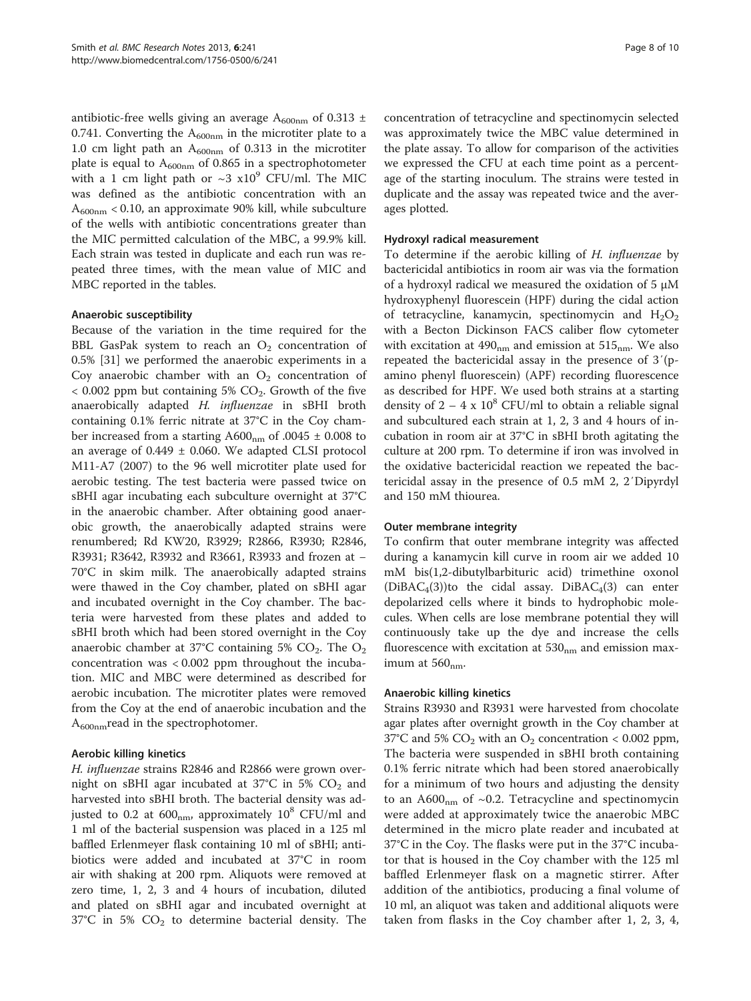antibiotic-free wells giving an average  $A_{600nm}$  of 0.313  $\pm$ 0.741. Converting the  $A_{600nm}$  in the microtiter plate to a 1.0 cm light path an  $A_{600nm}$  of 0.313 in the microtiter plate is equal to  $A_{600nm}$  of 0.865 in a spectrophotometer with a 1 cm light path or  $\sim$ 3 x10<sup>9</sup> CFU/ml. The MIC was defined as the antibiotic concentration with an  $A_{600nm}$  < 0.10, an approximate 90% kill, while subculture of the wells with antibiotic concentrations greater than the MIC permitted calculation of the MBC, a 99.9% kill. Each strain was tested in duplicate and each run was repeated three times, with the mean value of MIC and MBC reported in the tables.

#### Anaerobic susceptibility

Because of the variation in the time required for the BBL GasPak system to reach an  $O_2$  concentration of 0.5% [\[31](#page-9-0)] we performed the anaerobic experiments in a Coy anaerobic chamber with an  $O_2$  concentration of  $<$  0.002 ppm but containing 5% CO<sub>2</sub>. Growth of the five anaerobically adapted H. influenzae in sBHI broth containing 0.1% ferric nitrate at 37°C in the Coy chamber increased from a starting  $A600<sub>nm</sub>$  of .0045  $\pm$  0.008 to an average of  $0.449 \pm 0.060$ . We adapted CLSI protocol M11-A7 (2007) to the 96 well microtiter plate used for aerobic testing. The test bacteria were passed twice on sBHI agar incubating each subculture overnight at 37°C in the anaerobic chamber. After obtaining good anaerobic growth, the anaerobically adapted strains were renumbered; Rd KW20, R3929; R2866, R3930; R2846, R3931; R3642, R3932 and R3661, R3933 and frozen at − 70°C in skim milk. The anaerobically adapted strains were thawed in the Coy chamber, plated on sBHI agar and incubated overnight in the Coy chamber. The bacteria were harvested from these plates and added to sBHI broth which had been stored overnight in the Coy anaerobic chamber at 37°C containing 5%  $CO<sub>2</sub>$ . The  $O<sub>2</sub>$ concentration was < 0.002 ppm throughout the incubation. MIC and MBC were determined as described for aerobic incubation. The microtiter plates were removed from the Coy at the end of anaerobic incubation and the  $A_{600nm}$ read in the spectrophotomer.

# Aerobic killing kinetics

H. influenzae strains R2846 and R2866 were grown overnight on sBHI agar incubated at 37°C in 5%  $CO<sub>2</sub>$  and harvested into sBHI broth. The bacterial density was adjusted to 0.2 at  $600<sub>nm</sub>$ , approximately  $10<sup>8</sup>$  CFU/ml and 1 ml of the bacterial suspension was placed in a 125 ml baffled Erlenmeyer flask containing 10 ml of sBHI; antibiotics were added and incubated at 37°C in room air with shaking at 200 rpm. Aliquots were removed at zero time, 1, 2, 3 and 4 hours of incubation, diluted and plated on sBHI agar and incubated overnight at  $37^{\circ}$ C in 5%  $CO<sub>2</sub>$  to determine bacterial density. The concentration of tetracycline and spectinomycin selected was approximately twice the MBC value determined in the plate assay. To allow for comparison of the activities we expressed the CFU at each time point as a percentage of the starting inoculum. The strains were tested in duplicate and the assay was repeated twice and the averages plotted.

#### Hydroxyl radical measurement

To determine if the aerobic killing of H. influenzae by bactericidal antibiotics in room air was via the formation of a hydroxyl radical we measured the oxidation of 5 μM hydroxyphenyl fluorescein (HPF) during the cidal action of tetracycline, kanamycin, spectinomycin and  $H_2O_2$ with a Becton Dickinson FACS caliber flow cytometer with excitation at  $490<sub>nm</sub>$  and emission at  $515<sub>nm</sub>$ . We also repeated the bactericidal assay in the presence of 3′(pamino phenyl fluorescein) (APF) recording fluorescence as described for HPF. We used both strains at a starting density of  $2 - 4 \times 10^8$  CFU/ml to obtain a reliable signal and subcultured each strain at 1, 2, 3 and 4 hours of incubation in room air at 37°C in sBHI broth agitating the culture at 200 rpm. To determine if iron was involved in the oxidative bactericidal reaction we repeated the bactericidal assay in the presence of 0.5 mM 2, 2′Dipyrdyl and 150 mM thiourea.

#### Outer membrane integrity

To confirm that outer membrane integrity was affected during a kanamycin kill curve in room air we added 10 mM bis(1,2-dibutylbarbituric acid) trimethine oxonol  $(DiBAC<sub>4</sub>(3))$ to the cidal assay.  $DiBAC<sub>4</sub>(3)$  can enter depolarized cells where it binds to hydrophobic molecules. When cells are lose membrane potential they will continuously take up the dye and increase the cells fluorescence with excitation at  $530<sub>nm</sub>$  and emission maximum at  $560<sub>nm</sub>$ .

# Anaerobic killing kinetics

Strains R3930 and R3931 were harvested from chocolate agar plates after overnight growth in the Coy chamber at 37°C and 5%  $CO_2$  with an  $O_2$  concentration < 0.002 ppm, The bacteria were suspended in sBHI broth containing 0.1% ferric nitrate which had been stored anaerobically for a minimum of two hours and adjusting the density to an  $A600<sub>nm</sub>$  of ~0.2. Tetracycline and spectinomycin were added at approximately twice the anaerobic MBC determined in the micro plate reader and incubated at 37°C in the Coy. The flasks were put in the 37°C incubator that is housed in the Coy chamber with the 125 ml baffled Erlenmeyer flask on a magnetic stirrer. After addition of the antibiotics, producing a final volume of 10 ml, an aliquot was taken and additional aliquots were taken from flasks in the Coy chamber after 1, 2, 3, 4,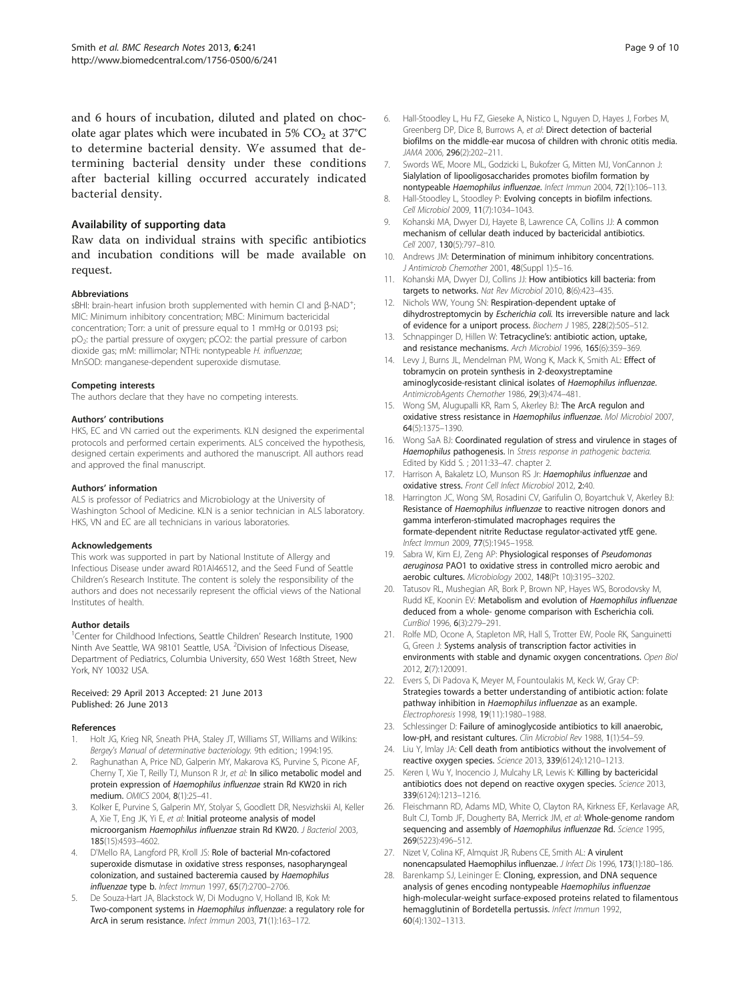<span id="page-8-0"></span>and 6 hours of incubation, diluted and plated on chocolate agar plates which were incubated in  $5\%$  CO<sub>2</sub> at  $37^{\circ}$ C to determine bacterial density. We assumed that determining bacterial density under these conditions after bacterial killing occurred accurately indicated bacterial density.

#### Availability of supporting data

Raw data on individual strains with specific antibiotics and incubation conditions will be made available on request.

#### Abbreviations

sBHI: brain-heart infusion broth supplemented with hemin CI and β-NAD<sup>+</sup>; ; MIC: Minimum inhibitory concentration; MBC: Minimum bactericidal concentration; Torr: a unit of pressure equal to 1 mmHg or 0.0193 psi; pO2: the partial pressure of oxygen; pCO2: the partial pressure of carbon dioxide gas; mM: millimolar; NTHi: nontypeable H. influenzae; MnSOD: manganese-dependent superoxide dismutase.

#### Competing interests

The authors declare that they have no competing interests.

#### Authors' contributions

HKS, EC and VN carried out the experiments. KLN designed the experimental protocols and performed certain experiments. ALS conceived the hypothesis, designed certain experiments and authored the manuscript. All authors read and approved the final manuscript.

#### Authors' information

ALS is professor of Pediatrics and Microbiology at the University of Washington School of Medicine. KLN is a senior technician in ALS laboratory. HKS, VN and EC are all technicians in various laboratories.

#### Acknowledgements

This work was supported in part by National Institute of Allergy and Infectious Disease under award R01AI46512, and the Seed Fund of Seattle Children's Research Institute. The content is solely the responsibility of the authors and does not necessarily represent the official views of the National Institutes of health.

#### Author details

<sup>1</sup>Center for Childhood Infections, Seattle Children' Research Institute, 1900 Ninth Ave Seattle, WA 98101 Seattle, USA. <sup>2</sup>Division of Infectious Disease, Department of Pediatrics, Columbia University, 650 West 168th Street, New York, NY 10032 USA.

#### Received: 29 April 2013 Accepted: 21 June 2013 Published: 26 June 2013

#### References

- 1. Holt JG, Krieg NR, Sneath PHA, Staley JT, Williams ST, Williams and Wilkins: Bergey's Manual of determinative bacteriology. 9th edition.; 1994:195.
- 2. Raghunathan A, Price ND, Galperin MY, Makarova KS, Purvine S, Picone AF, Cherny T, Xie T, Reilly TJ, Munson R Jr, et al: In silico metabolic model and protein expression of Haemophilus influenzae strain Rd KW20 in rich medium. OMICS 2004, 8(1):25–41.
- 3. Kolker E, Purvine S, Galperin MY, Stolyar S, Goodlett DR, Nesvizhskii AI, Keller A, Xie T, Eng JK, Yi E, et al: Initial proteome analysis of model microorganism Haemophilus influenzae strain Rd KW20. J Bacteriol 2003, 185(15):4593–4602.
- 4. D'Mello RA, Langford PR, Kroll JS: Role of bacterial Mn-cofactored superoxide dismutase in oxidative stress responses, nasopharyngeal colonization, and sustained bacteremia caused by Haemophilus influenzae type b. Infect Immun 1997, 65(7):2700–2706.
- 5. De Souza-Hart JA, Blackstock W, Di Modugno V, Holland IB, Kok M: Two-component systems in Haemophilus influenzae: a regulatory role for ArcA in serum resistance. Infect Immun 2003, 71(1):163–172.
- 6. Hall-Stoodley L, Hu FZ, Gieseke A, Nistico L, Nguyen D, Hayes J, Forbes M, Greenberg DP, Dice B, Burrows A, et al: Direct detection of bacterial biofilms on the middle-ear mucosa of children with chronic otitis media. JAMA 2006, 296(2):202–211.
- 7. Swords WE, Moore ML, Godzicki L, Bukofzer G, Mitten MJ, VonCannon J: Sialylation of lipooligosaccharides promotes biofilm formation by nontypeable Haemophilus influenzae. Infect Immun 2004, 72(1):106–113.
- 8. Hall-Stoodley L, Stoodley P: Evolving concepts in biofilm infections. Cell Microbiol 2009, 11(7):1034–1043.
- 9. Kohanski MA, Dwyer DJ, Hayete B, Lawrence CA, Collins JJ: A common mechanism of cellular death induced by bactericidal antibiotics. Cell 2007, 130(5):797–810.
- 10. Andrews JM: Determination of minimum inhibitory concentrations. J Antimicrob Chemother 2001, 48(Suppl 1):5–16.
- 11. Kohanski MA, Dwyer DJ, Collins JJ: How antibiotics kill bacteria: from targets to networks. Nat Rev Microbiol 2010, 8(6):423–435.
- 12. Nichols WW, Young SN: Respiration-dependent uptake of dihydrostreptomycin by Escherichia coli. Its irreversible nature and lack of evidence for a uniport process. Biochem J 1985, 228(2):505–512.
- 13. Schnappinger D, Hillen W: Tetracycline's: antibiotic action, uptake, and resistance mechanisms. Arch Microbiol 1996, 165(6):359–369.
- 14. Levy J, Burns JL, Mendelman PM, Wong K, Mack K, Smith AL: Effect of tobramycin on protein synthesis in 2-deoxystreptamine aminoglycoside-resistant clinical isolates of Haemophilus influenzae. AntimicrobAgents Chemother 1986, 29(3):474-481.
- 15. Wong SM, Alugupalli KR, Ram S, Akerley BJ: The ArcA regulon and oxidative stress resistance in Haemophilus influenzae. Mol Microbiol 2007, 64(5):1375–1390.
- 16. Wong SaA BJ: Coordinated regulation of stress and virulence in stages of Haemophilus pathogenesis. In Stress response in pathogenic bacteria. Edited by Kidd S. ; 2011:33–47. chapter 2.
- 17. Harrison A, Bakaletz LO, Munson RS Jr: Haemophilus influenzae and oxidative stress. Front Cell Infect Microbiol 2012, 2:40.
- 18. Harrington JC, Wong SM, Rosadini CV, Garifulin O, Boyartchuk V, Akerley BJ: Resistance of Haemophilus influenzae to reactive nitrogen donors and gamma interferon-stimulated macrophages requires the formate-dependent nitrite Reductase regulator-activated ytfE gene. Infect Immun 2009, 77(5):1945–1958.
- 19. Sabra W, Kim EJ, Zeng AP: Physiological responses of Pseudomonas aeruginosa PAO1 to oxidative stress in controlled micro aerobic and aerobic cultures. Microbiology 2002, 148(Pt 10):3195–3202.
- 20. Tatusov RL, Mushegian AR, Bork P, Brown NP, Hayes WS, Borodovsky M, Rudd KE, Koonin EV: Metabolism and evolution of Haemophilus influenzae deduced from a whole- genome comparison with Escherichia coli. CurrBiol 1996, 6(3):279–291.
- 21. Rolfe MD, Ocone A, Stapleton MR, Hall S, Trotter EW, Poole RK, Sanguinetti G, Green J: Systems analysis of transcription factor activities in environments with stable and dynamic oxygen concentrations. Open Biol 2012, 2(7):120091.
- 22. Evers S, Di Padova K, Meyer M, Fountoulakis M, Keck W, Gray CP: Strategies towards a better understanding of antibiotic action: folate pathway inhibition in Haemophilus influenzae as an example. Electrophoresis 1998, 19(11):1980–1988.
- 23. Schlessinger D: Failure of aminoglycoside antibiotics to kill anaerobic, low-pH, and resistant cultures. Clin Microbiol Rev 1988, 1(1):54–59.
- 24. Liu Y, Imlay JA: Cell death from antibiotics without the involvement of reactive oxygen species. Science 2013, 339(6124):1210–1213.
- 25. Keren I, Wu Y, Inocencio J, Mulcahy LR, Lewis K: Killing by bactericidal antibiotics does not depend on reactive oxygen species. Science 2013, 339(6124):1213–1216.
- 26. Fleischmann RD, Adams MD, White O, Clayton RA, Kirkness EF, Kerlavage AR, Bult CJ, Tomb JF, Dougherty BA, Merrick JM, et al: Whole-genome random sequencing and assembly of Haemophilus influenzae Rd. Science 1995, 269(5223):496–512.
- 27. Nizet V, Colina KF, Almquist JR, Rubens CE, Smith AL: A virulent nonencapsulated Haemophilus influenzae. J Infect Dis 1996, 173(1):180–186.
- 28. Barenkamp SJ, Leininger E: Cloning, expression, and DNA sequence analysis of genes encoding nontypeable Haemophilus influenzae high-molecular-weight surface-exposed proteins related to filamentous hemagglutinin of Bordetella pertussis. Infect Immun 1992, 60(4):1302–1313.